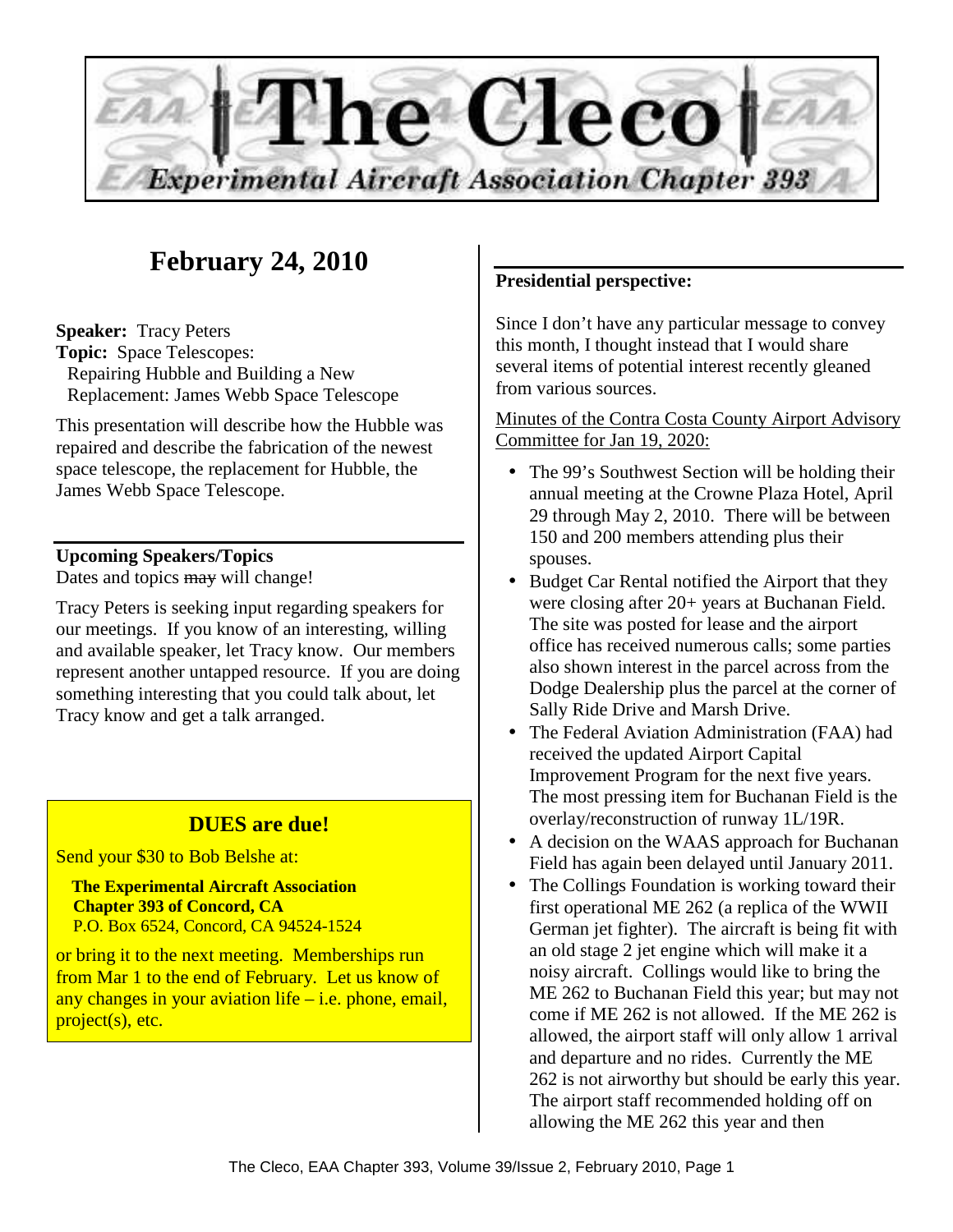

# **February 24, 2010**

**Speaker:** Tracy Peters **Topic:** Space Telescopes: Repairing Hubble and Building a New Replacement: James Webb Space Telescope

This presentation will describe how the Hubble was repaired and describe the fabrication of the newest space telescope, the replacement for Hubble, the James Webb Space Telescope.

### **Upcoming Speakers/Topics**

Dates and topics may will change!

Tracy Peters is seeking input regarding speakers for our meetings. If you know of an interesting, willing and available speaker, let Tracy know. Our members represent another untapped resource. If you are doing something interesting that you could talk about, let Tracy know and get a talk arranged.

# **DUES are due!**

Send your \$30 to Bob Belshe at:

 **The Experimental Aircraft Association Chapter 393 of Concord, CA**  P.O. Box 6524, Concord, CA 94524-1524

or bring it to the next meeting. Memberships run from Mar 1 to the end of February. Let us know of any changes in your aviation life  $-$  i.e. phone, email, project(s), etc.

#### **Presidential perspective:**

Since I don't have any particular message to convey this month, I thought instead that I would share several items of potential interest recently gleaned from various sources.

Minutes of the Contra Costa County Airport Advisory Committee for Jan 19, 2020:

- The 99's Southwest Section will be holding their annual meeting at the Crowne Plaza Hotel, April 29 through May 2, 2010. There will be between 150 and 200 members attending plus their spouses.
- Budget Car Rental notified the Airport that they were closing after 20+ years at Buchanan Field. The site was posted for lease and the airport office has received numerous calls; some parties also shown interest in the parcel across from the Dodge Dealership plus the parcel at the corner of Sally Ride Drive and Marsh Drive.
- The Federal Aviation Administration (FAA) had received the updated Airport Capital Improvement Program for the next five years. The most pressing item for Buchanan Field is the overlay/reconstruction of runway 1L/19R.
- A decision on the WAAS approach for Buchanan Field has again been delayed until January 2011.
- The Collings Foundation is working toward their first operational ME 262 (a replica of the WWII German jet fighter). The aircraft is being fit with an old stage 2 jet engine which will make it a noisy aircraft. Collings would like to bring the ME 262 to Buchanan Field this year; but may not come if ME 262 is not allowed. If the ME 262 is allowed, the airport staff will only allow 1 arrival and departure and no rides. Currently the ME 262 is not airworthy but should be early this year. The airport staff recommended holding off on allowing the ME 262 this year and then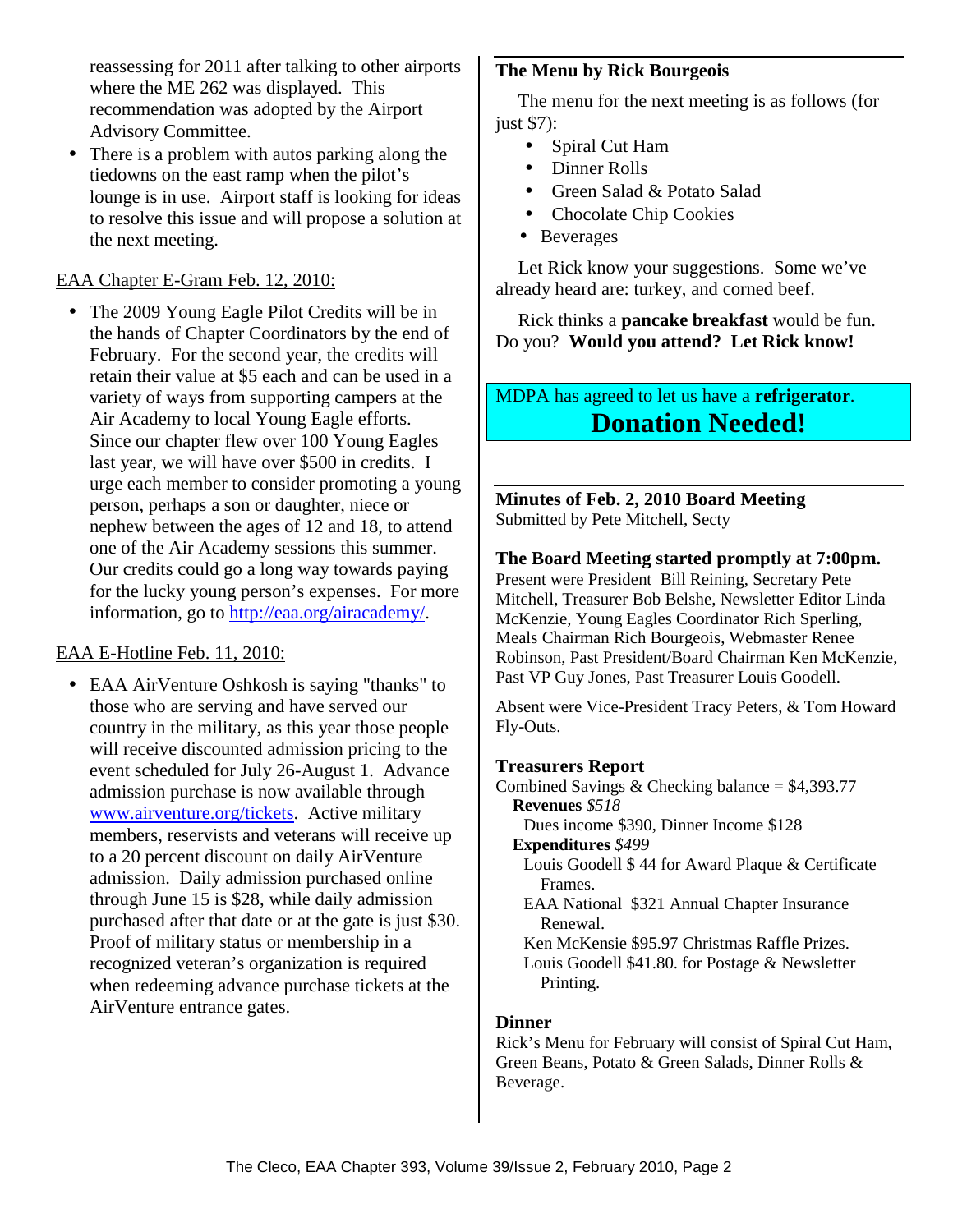reassessing for 2011 after talking to other airports where the ME 262 was displayed. This recommendation was adopted by the Airport Advisory Committee.

• There is a problem with autos parking along the tiedowns on the east ramp when the pilot's lounge is in use. Airport staff is looking for ideas to resolve this issue and will propose a solution at the next meeting.

# EAA Chapter E-Gram Feb. 12, 2010:

• The 2009 Young Eagle Pilot Credits will be in the hands of Chapter Coordinators by the end of February. For the second year, the credits will retain their value at \$5 each and can be used in a variety of ways from supporting campers at the Air Academy to local Young Eagle efforts. Since our chapter flew over 100 Young Eagles last year, we will have over \$500 in credits. I urge each member to consider promoting a young person, perhaps a son or daughter, niece or nephew between the ages of 12 and 18, to attend one of the Air Academy sessions this summer. Our credits could go a long way towards paying for the lucky young person's expenses. For more information, go to http://eaa.org/airacademy/.

### EAA E-Hotline Feb. 11, 2010:

• EAA AirVenture Oshkosh is saying "thanks" to those who are serving and have served our country in the military, as this year those people will receive discounted admission pricing to the event scheduled for July 26-August 1. Advance admission purchase is now available through www.airventure.org/tickets. Active military members, reservists and veterans will receive up to a 20 percent discount on daily AirVenture admission. Daily admission purchased online through June 15 is \$28, while daily admission purchased after that date or at the gate is just \$30. Proof of military status or membership in a recognized veteran's organization is required when redeeming advance purchase tickets at the AirVenture entrance gates.

# **The Menu by Rick Bourgeois**

The menu for the next meeting is as follows (for just \$7):

- Spiral Cut Ham
- Dinner Rolls
- Green Salad & Potato Salad
- Chocolate Chip Cookies
- Beverages

Let Rick know your suggestions. Some we've already heard are: turkey, and corned beef.

Rick thinks a **pancake breakfast** would be fun. Do you? **Would you attend? Let Rick know!** 

MDPA has agreed to let us have a **refrigerator**. **Donation Needed!** 

**Minutes of Feb. 2, 2010 Board Meeting**  Submitted by Pete Mitchell, Secty

#### **The Board Meeting started promptly at 7:00pm.**

Present were President Bill Reining, Secretary Pete Mitchell, Treasurer Bob Belshe, Newsletter Editor Linda McKenzie, Young Eagles Coordinator Rich Sperling, Meals Chairman Rich Bourgeois, Webmaster Renee Robinson, Past President/Board Chairman Ken McKenzie, Past VP Guy Jones, Past Treasurer Louis Goodell.

Absent were Vice-President Tracy Peters, & Tom Howard Fly-Outs.

#### **Treasurers Report**

Combined Savings & Checking balance =  $$4,393.77$ **Revenues** *\$518*  Dues income \$390, Dinner Income \$128

**Expenditures** *\$499* 

Louis Goodell \$ 44 for Award Plaque & Certificate Frames.

EAA National \$321 Annual Chapter Insurance Renewal.

Ken McKensie \$95.97 Christmas Raffle Prizes. Louis Goodell \$41.80. for Postage & Newsletter Printing.

### **Dinner**

Rick's Menu for February will consist of Spiral Cut Ham, Green Beans, Potato & Green Salads, Dinner Rolls & Beverage.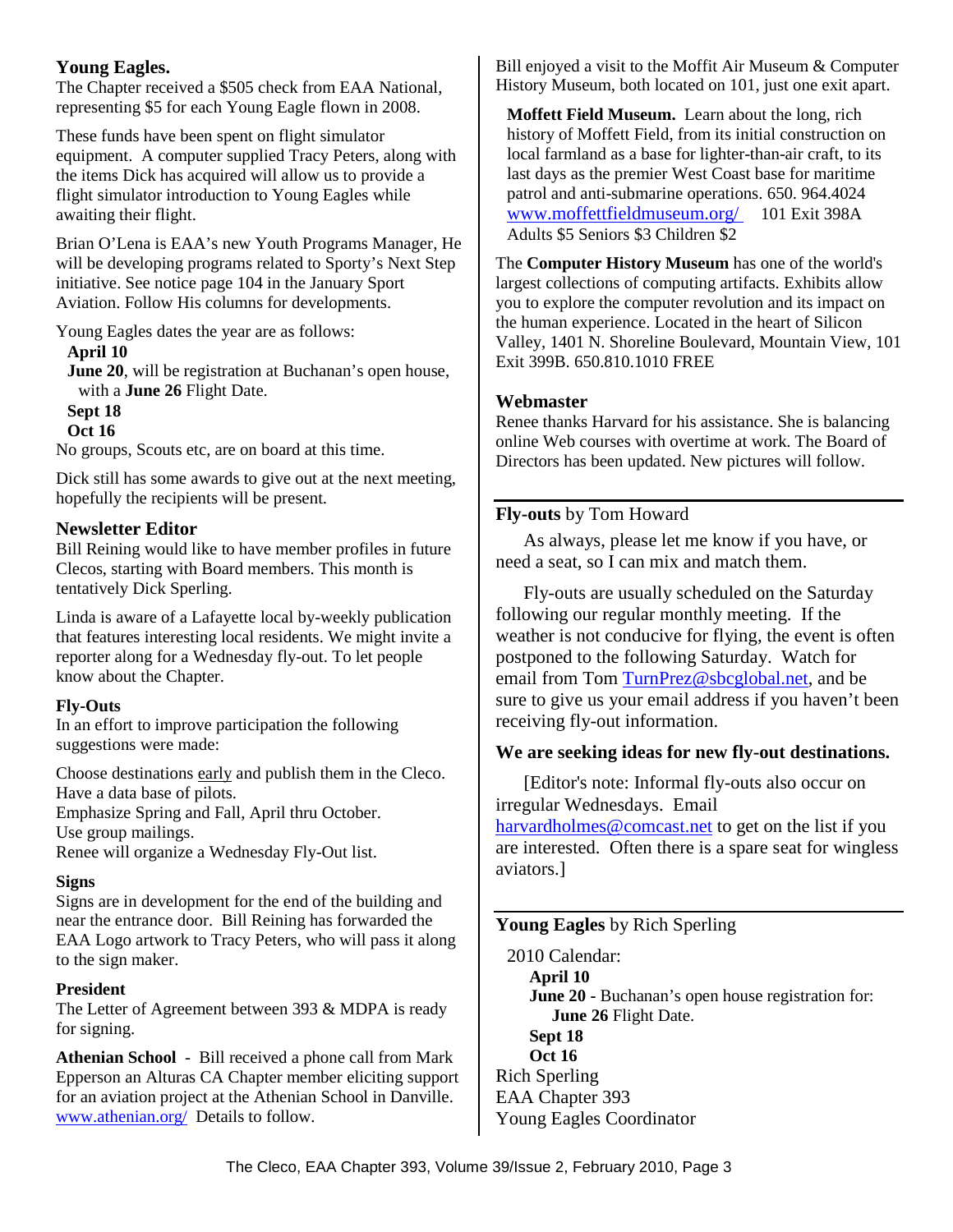# **Young Eagles.**

The Chapter received a \$505 check from EAA National, representing \$5 for each Young Eagle flown in 2008.

These funds have been spent on flight simulator equipment. A computer supplied Tracy Peters, along with the items Dick has acquired will allow us to provide a flight simulator introduction to Young Eagles while awaiting their flight.

Brian O'Lena is EAA's new Youth Programs Manager, He will be developing programs related to Sporty's Next Step initiative. See notice page 104 in the January Sport Aviation. Follow His columns for developments.

Young Eagles dates the year are as follows:

#### **April 10**

**June 20**, will be registration at Buchanan's open house, with a **June 26** Flight Date.

# **Sept 18**

**Oct 16** 

No groups, Scouts etc, are on board at this time.

Dick still has some awards to give out at the next meeting, hopefully the recipients will be present.

# **Newsletter Editor**

Bill Reining would like to have member profiles in future Clecos, starting with Board members. This month is tentatively Dick Sperling.

Linda is aware of a Lafayette local by-weekly publication that features interesting local residents. We might invite a reporter along for a Wednesday fly-out. To let people know about the Chapter.

### **Fly-Outs**

In an effort to improve participation the following suggestions were made:

Choose destinations early and publish them in the Cleco. Have a data base of pilots.

Emphasize Spring and Fall, April thru October. Use group mailings.

Renee will organize a Wednesday Fly-Out list.

### **Signs**

Signs are in development for the end of the building and near the entrance door. Bill Reining has forwarded the EAA Logo artwork to Tracy Peters, who will pass it along to the sign maker.

### **President**

The Letter of Agreement between 393 & MDPA is ready for signing.

**Athenian School** - Bill received a phone call from Mark Epperson an Alturas CA Chapter member eliciting support for an aviation project at the Athenian School in Danville. www.athenian.org/ Details to follow.

Bill enjoyed a visit to the Moffit Air Museum & Computer History Museum, both located on 101, just one exit apart.

**Moffett Field Museum.** Learn about the long, rich history of Moffett Field, from its initial construction on local farmland as a base for lighter-than-air craft, to its last days as the premier West Coast base for maritime patrol and anti-submarine operations. 650. 964.4024 www.moffettfieldmuseum.org/ 101 Exit 398A Adults \$5 Seniors \$3 Children \$2

The **Computer History Museum** has one of the world's largest collections of computing artifacts. Exhibits allow you to explore the computer revolution and its impact on the human experience. Located in the heart of Silicon Valley, 1401 N. Shoreline Boulevard, Mountain View, 101 Exit 399B. 650.810.1010 FREE

### **Webmaster**

Renee thanks Harvard for his assistance. She is balancing online Web courses with overtime at work. The Board of Directors has been updated. New pictures will follow.

### **Fly-outs** by Tom Howard

As always, please let me know if you have, or need a seat, so I can mix and match them.

Fly-outs are usually scheduled on the Saturday following our regular monthly meeting. If the weather is not conducive for flying, the event is often postponed to the following Saturday. Watch for email from Tom TurnPrez@sbcglobal.net, and be sure to give us your email address if you haven't been receiving fly-out information.

### **We are seeking ideas for new fly-out destinations.**

[Editor's note: Informal fly-outs also occur on irregular Wednesdays. Email harvardholmes@comcast.net to get on the list if you are interested. Often there is a spare seat for wingless aviators.]

# **Young Eagles** by Rich Sperling

2010 Calendar: **April 10 June 20 - Buchanan's open house registration for: June 26** Flight Date. **Sept 18 Oct 16**  Rich Sperling EAA Chapter 393 Young Eagles Coordinator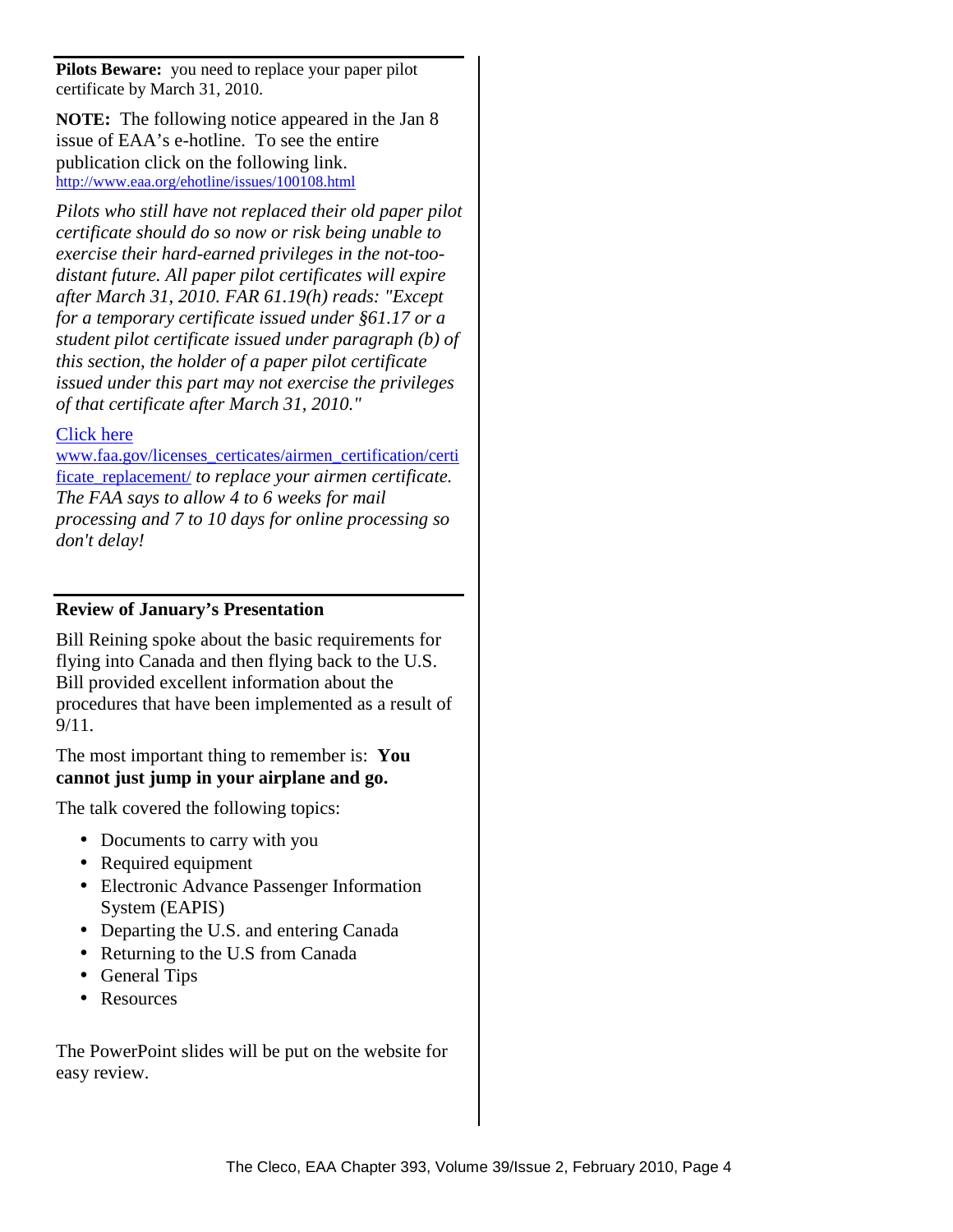**Pilots Beware:** you need to replace your paper pilot certificate by March 31, 2010.

**NOTE:** The following notice appeared in the Jan 8 issue of EAA's e-hotline. To see the entire publication click on the following link. http://www.eaa.org/ehotline/issues/100108.html

*Pilots who still have not replaced their old paper pilot certificate should do so now or risk being unable to exercise their hard-earned privileges in the not-toodistant future. All paper pilot certificates will expire after March 31, 2010. FAR 61.19(h) reads: "Except for a temporary certificate issued under §61.17 or a student pilot certificate issued under paragraph (b) of this section, the holder of a paper pilot certificate issued under this part may not exercise the privileges of that certificate after March 31, 2010."* 

#### Click here

www.faa.gov/licenses\_certicates/airmen\_certification/certi ficate\_replacement/ *to replace your airmen certificate. The FAA says to allow 4 to 6 weeks for mail processing and 7 to 10 days for online processing so don't delay!* 

#### **Review of January's Presentation**

Bill Reining spoke about the basic requirements for flying into Canada and then flying back to the U.S. Bill provided excellent information about the procedures that have been implemented as a result of 9/11.

The most important thing to remember is: **You cannot just jump in your airplane and go.**

The talk covered the following topics:

- Documents to carry with you
- Required equipment
- Electronic Advance Passenger Information System (EAPIS)
- Departing the U.S. and entering Canada
- Returning to the U.S from Canada
- General Tips
- Resources

The PowerPoint slides will be put on the website for easy review.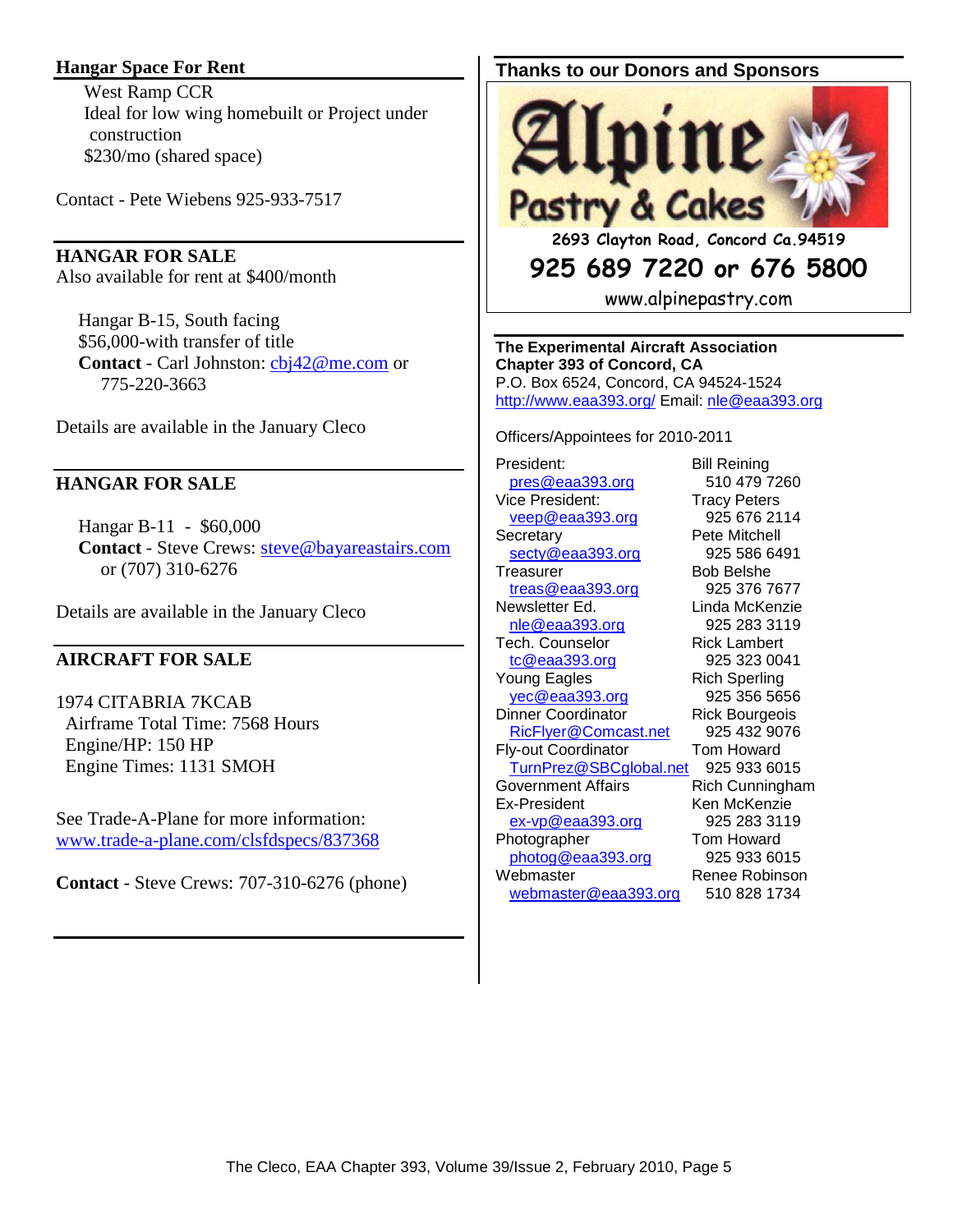#### **Hangar Space For Rent**

 West Ramp CCR Ideal for low wing homebuilt or Project under construction \$230/mo (shared space)

Contact - Pete Wiebens 925-933-7517

**HANGAR FOR SALE** 

Also available for rent at \$400/month

Hangar B-15, South facing \$56,000-with transfer of title **Contact** - Carl Johnston: cbj42@me.com or 775-220-3663

Details are available in the January Cleco

#### **HANGAR FOR SALE**

Hangar B-11 - \$60,000 **Contact** - Steve Crews: steve@bayareastairs.com or (707) 310-6276

Details are available in the January Cleco

#### **AIRCRAFT FOR SALE**

1974 CITABRIA 7KCAB Airframe Total Time: 7568 Hours Engine/HP: 150 HP Engine Times: 1131 SMOH

See Trade-A-Plane for more information: www.trade-a-plane.com/clsfdspecs/837368

**Contact** - Steve Crews: 707-310-6276 (phone)

#### **Thanks to our Donors and Sponsors**



**2693 Clayton Road, Concord Ca.94519** 

# **925 689 7220 or 676 5800**

www.alpinepastry.com

**The Experimental Aircraft Association Chapter 393 of Concord, CA**  P.O. Box 6524, Concord, CA 94524-1524 http://www.eaa393.org/ Email: nle@eaa393.org

Officers/Appointees for 2010-2011

President: Bill Reining pres@eaa393.org 510 479 7260 Vice President: Tracy Peters veep@eaa393.org 925 676 2114 Secretary **Pete Mitchell** secty@eaa393.org 925 586 6491 Treasurer Bob Belshe treas@eaa393.org 925 376 7677 Newsletter Ed. Linda McKenzie nle@eaa393.org 925 283 3119 Tech. Counselor Rick Lambert tc@eaa393.org 925 323 0041 Young Eagles **Rich Sperling** yec@eaa393.org 925 356 5656 Dinner Coordinator **Rick Bourgeois** RicFlyer@Comcast.net 925 432 9076 Fly-out Coordinator Tom Howard TurnPrez@SBCglobal.net 925 933 6015 Government Affairs **Rich Cunningham** Ex-President Ken McKenzie ex-vp@eaa393.org 925 283 3119 Photographer Tom Howard photog@eaa393.org 925 933 6015 Webmaster Renee Robinson webmaster@eaa393.org 510 828 1734